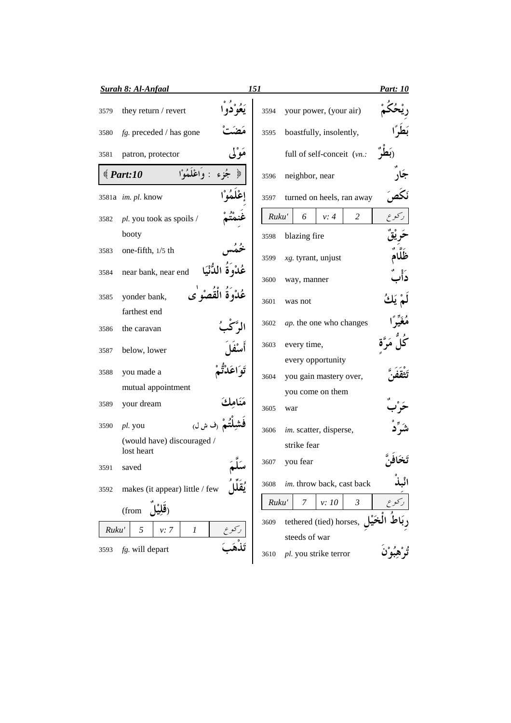|       | <b>Surah 8: Al-Anfaal</b>                      | 151   |                                             | <b>Part: 10</b> |
|-------|------------------------------------------------|-------|---------------------------------------------|-----------------|
| 3579  | they return / revert                           | 3594  | your power, (your air)                      |                 |
| 3580  | $fg.$ preceded / has gone                      | 3595  | boastfully, insolently,                     |                 |
| 3581  | مَوْلِي<br>patron, protector                   |       | full of self-conceit (vn.:                  |                 |
|       | : واعْلَمُهْ ا<br>$\text{\textdegree}$ Part:10 | 3596  | neighbor, near                              |                 |
|       | 3581a im. pl. know                             | 3597  | turned on heels, ran away                   |                 |
| 3582  | pl. you took as spoils /                       | Ruku' | 2<br>6<br>v: 4                              |                 |
|       | booty                                          | 3598  | blazing fire                                |                 |
| 3583  | one-fifth, $1/5$ th                            | 3599  | $xg.$ tyrant, unjust                        |                 |
| 3584  | near bank, near end                            | 3600  | way, manner                                 |                 |
| 3585  | َةَ الْقَصْوُ ٰي<br>yonder bank,               | 3601  | was not                                     |                 |
|       | farthest end                                   |       |                                             |                 |
| 3586  | the caravan                                    | 3602  | ap. the one who changes                     |                 |
| 3587  | below, lower                                   | 3603  | every time,                                 |                 |
| 3588  | you made a                                     | 3604  | every opportunity<br>you gain mastery over, |                 |
|       | mutual appointment                             |       | you come on them                            |                 |
| 3589  | your dream                                     | 3605  | war                                         |                 |
| 3590  | .<br>م (ف ش ل)<br><i>pl.</i> you               | 3606  | im. scatter, disperse,                      |                 |
|       | (would have) discouraged /<br>lost heart       |       | strike fear                                 |                 |
| 3591  | saved                                          | 3607  | you fear                                    |                 |
| 3592  | makes (it appear) little / few                 | 3608  | im. throw back, cast back                   |                 |
|       | (from                                          | Ruku' | 7<br>$\mathfrak{Z}$<br>v: 10                |                 |
|       |                                                | 3609  | tethered (tied) horses,                     |                 |
| Ruku' | 5<br>v: 7<br>1                                 |       | steeds of war                               |                 |
| 3593  | fg. will depart                                | 3610  | pl. you strike terror                       |                 |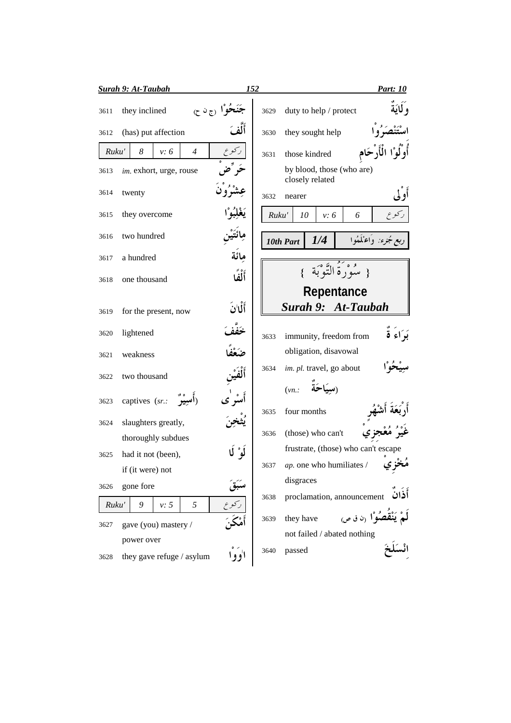| <b>Surah 9: At-Taubah</b>                 | 152<br><b>Part: 10</b>                                        |
|-------------------------------------------|---------------------------------------------------------------|
| نوا رج نا ح)<br>they inclined<br>3611     | و لمايَة<br>duty to help / protect<br>3629                    |
| (has) put affection<br>3612               | they sought help<br>3630                                      |
| Ruku'<br>8<br>$\overline{4}$<br>v: 6      | those kindred<br>3631                                         |
| im. exhort, urge, rouse<br>3613           | by blood, those (who are)<br>closely related                  |
| twenty<br>3614                            | 3632<br>nearer                                                |
| they overcome<br>3615                     | Ruku'<br>10<br>v: 6<br>6                                      |
| two hundred<br>3616                       | لجزء: وَاعْلَمُوا<br>1/4<br>10th Part                         |
| مائَة<br>a hundred<br>3617                |                                                               |
| أَلْفَا<br>one thousand<br>3618           | { سَوْرَةُ التَّوْبَةِ                                        |
|                                           | Repentance                                                    |
| أَلَّانَ<br>for the present, now<br>3619  | Surah 9: At-Taubah                                            |
| خفف<br>lightened<br>3620                  | بَرَاءَ ةٌ<br>immunity, freedom from<br>3633                  |
| weakness<br>3621                          | obligation, disavowal                                         |
| two thousand<br>3622                      | im. pl. travel, go about<br>3634                              |
| captives (sr.:<br>3623                    | (سيَاحَة<br>(vn.                                              |
| slaughters greatly,<br>3624               | four months<br>3635                                           |
| thoroughly subdues                        | (those) who can't<br>3636                                     |
| لُو ٗ لَا<br>had it not (been),<br>3625   | frustrate, (those) who can't escape                           |
| if (it were) not                          | مَخْ ي<br>ap. one who humiliates /<br>3637                    |
| gone fore<br>3626                         | disgraces                                                     |
| 5<br>9<br>v: 5<br>Ruku'                   | proclamation, announcement<br>3638                            |
|                                           | مُوْ ا <sub>ً (</sub> ن ق ص <sub>)</sub><br>they have<br>3639 |
| gave (you) mastery /<br>3627              | not failed / abated nothing                                   |
| power over                                | passed<br>3640                                                |
| اووا<br>they gave refuge / asylum<br>3628 |                                                               |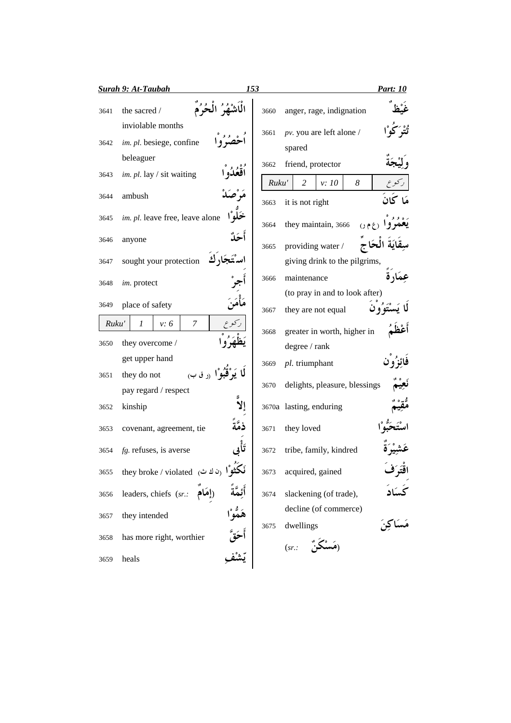|       | <b>Surah 9: At-Taubah</b>                                                           | 153    |               | <b>Part: 10</b>                                      |
|-------|-------------------------------------------------------------------------------------|--------|---------------|------------------------------------------------------|
| 3641  | نْهُرُ الْحُرُمَ<br>the sacred /                                                    |        | 3660          | anger, rage, indignation                             |
| 3642  | inviolable months<br>im. pl. besiege, confine<br>beleaguer                          |        | 3661          | pv. you are left alone /<br>spared                   |
| 3643  | im. pl. lay / sit waiting                                                           |        | 3662<br>Ruku' | friend, protector<br>2<br>8<br>v: 10                 |
| 3644  | ambush                                                                              |        | 3663          | كان<br>it is not right                               |
| 3645  | im. pl. leave free, leave alone                                                     |        | 3664          | they maintain, 3666                                  |
| 3646  | anyone                                                                              | أحَلُّ | 3665          | providing water /                                    |
| 3647  | تَجَار ك<br>sought your protection                                                  |        |               | giving drink to the pilgrims,                        |
| 3648  | im. protect                                                                         |        | 3666          | maintenance                                          |
| 3649  | place of safety                                                                     |        | 3667          | (to pray in and to look after)<br>they are not equal |
| Ruku' | 7<br>v: 6<br>1                                                                      |        | 3668          | greater in worth, higher in                          |
| 3650  | they overcome /                                                                     |        |               | degree / rank                                        |
|       | get upper hand                                                                      |        | 3669          | pl. triumphant                                       |
| 3651  | يَوْقَبُوْا <sub>ً (ر</sub> ق ب <sub>)</sub><br>they do not<br>pay regard / respect |        | 3670          | delights, pleasure, blessings                        |
| 3652  | kinship                                                                             |        |               | 3670a lasting, enduring                              |
| 3653  | covenant, agreement, tie                                                            |        | 3671          | they loved                                           |
| 3654  | $fg$ . refuses, is averse                                                           |        | 3672          | tribe, family, kindred                               |
| 3655  | <b>i</b> أَنْكَثُوا (ن ك ث) they broke / violated                                   |        | 3673          | acquired, gained<br>افترف                            |
| 3656  | leaders, chiefs (sr.: إهَام                                                         |        | 3674          | slackening (of trade),                               |
| 3657  | they intended                                                                       |        | 3675          | decline (of commerce)<br>dwellings                   |
| 3658  | has more right, worthier                                                            | أحَقَ  |               | (sr.                                                 |
| 3659  | heals                                                                               |        |               |                                                      |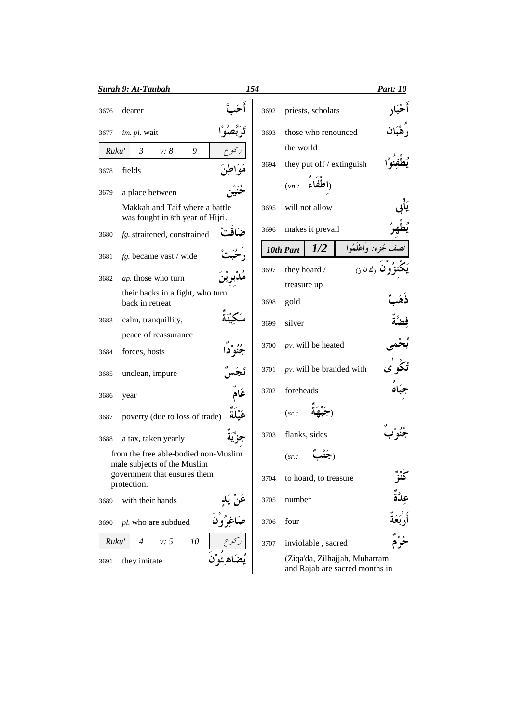|       | <u>Surah 9: At-Taubah</u>                                           |                          | 154  |                             |                                                                 | <b>Part:</b> 10 |
|-------|---------------------------------------------------------------------|--------------------------|------|-----------------------------|-----------------------------------------------------------------|-----------------|
| 3676  | dearer                                                              |                          | 3692 | priests, scholars           |                                                                 |                 |
| 3677  | im. pl. wait                                                        |                          | 3693 | those who renounced         |                                                                 |                 |
| Ruku' | $\mathfrak{Z}$<br>9<br>v: 8                                         |                          |      | the world                   |                                                                 |                 |
| 3678  | fields                                                              |                          | 3694 | they put off / extinguish   |                                                                 |                 |
| 3679  | a place between                                                     |                          |      | ااطفاء<br>$(vn)$ :          |                                                                 |                 |
|       | Makkah and Taif where a battle<br>was fought in 8th year of Hijri.  |                          | 3695 | will not allow              |                                                                 |                 |
| 3680  | fg. straitened, constrained                                         | ضاقت                     | 3696 | makes it prevail            |                                                                 |                 |
| 3681  | fg. became vast / wide                                              |                          |      | 1/2<br>10th Part            | خجرء: وَاعْلَمُوا                                               |                 |
| 3682  | ap. those who turn                                                  |                          | 3697 | they hoard /                | ا ك ن ن                                                         |                 |
|       | their backs in a fight, who turn                                    |                          |      | treasure up                 |                                                                 |                 |
|       | back in retreat                                                     |                          | 3698 | gold                        |                                                                 |                 |
| 3683  | calm, tranquillity,                                                 |                          | 3699 | silver                      |                                                                 |                 |
|       | peace of reassurance                                                |                          |      | $pv$ . will be heated       |                                                                 |                 |
| 3684  | forces, hosts                                                       |                          | 3700 |                             |                                                                 |                 |
| 3685  | unclean, impure                                                     |                          | 3701 | $pv$ . will be branded with |                                                                 |                 |
| 3686  | year                                                                | عَام                     | 3702 | foreheads                   |                                                                 |                 |
| 3687  | poverty (due to loss of trade)                                      |                          |      | (sr.                        |                                                                 |                 |
| 3688  | a tax, taken yearly                                                 |                          | 3703 | flanks, sides               |                                                                 |                 |
|       | from the free able-bodied non-Muslim<br>male subjects of the Muslim |                          |      | (sr.                        |                                                                 |                 |
|       | government that ensures them                                        |                          | 3704 | to hoard, to treasure       |                                                                 |                 |
|       | protection.                                                         |                          |      |                             |                                                                 |                 |
| 3689  | with their hands                                                    |                          | 3705 | number                      |                                                                 |                 |
| 3690  | pl. who are subdued                                                 | عَنْ يَدِ<br>صَاغِرُوْنَ | 3706 | four                        |                                                                 |                 |
| Ruku' | $\overline{4}$<br>v: 5<br>10                                        |                          | 3707 | inviolable, sacred          |                                                                 |                 |
| 3691  | they imitate                                                        |                          |      |                             | (Ziqa'da, Zilhajjah, Muharram<br>and Rajab are sacred months in |                 |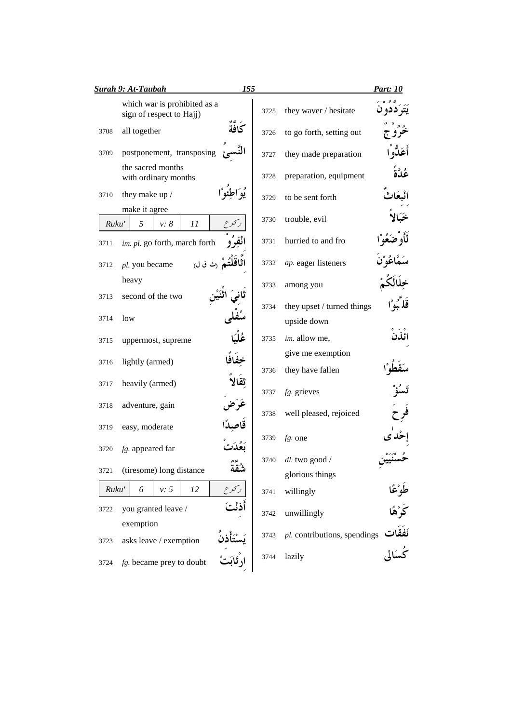|       | 155<br><b>Surah 9: At-Taubah</b>                         |      |                                       | <b>Part: 10</b>     |
|-------|----------------------------------------------------------|------|---------------------------------------|---------------------|
|       | which war is prohibited as a<br>sign of respect to Hajj) | 3725 | they waver / hesitate                 |                     |
| 3708  | كافة<br>all together                                     | 3726 | to go forth, setting out              |                     |
| 3709  | postponement, transposing                                | 3727 | they made preparation                 |                     |
|       | the sacred months<br>with ordinary months                | 3728 | preparation, equipment                |                     |
| 3710  | they make up /                                           | 3729 | to be sent forth                      |                     |
| Ruku' | make it agree<br>5<br>11<br>v: 8                         | 3730 | trouble, evil                         |                     |
| 3711  | im. pl. go forth, march forth                            | 3731 | hurried to and fro                    |                     |
| 3712  | pl. you became                                           | 3732 | ap. eager listeners                   |                     |
|       | heavy                                                    | 3733 | among you                             |                     |
| 3713  | second of the two                                        | 3734 | they upset / turned things            |                     |
| 3714  | low                                                      |      | upside down                           |                     |
| 3715  | uppermost, supreme                                       | 3735 | im. allow me,                         | ائذن                |
| 3716  | lightly (armed)                                          | 3736 | give me exemption<br>they have fallen |                     |
| 3717  | heavily (armed)                                          | 3737 | $fg.$ grieves                         |                     |
| 3718  | adventure, gain                                          |      |                                       |                     |
|       |                                                          | 3738 | well pleased, rejoiced                |                     |
| 3719  | easy, moderate                                           | 3739 | $fg$ . one                            |                     |
| 3720  | fg. appeared far                                         | 3740 | dl. two good /                        |                     |
| 3721  | (tiresome) long distance<br>سقه                          |      | glorious things                       |                     |
| Ruku' | کوع<br>v: 5<br>6<br>12                                   | 3741 | willingly                             |                     |
| 3722  | you granted leave /                                      | 3742 | unwillingly                           | طَوْعًا<br>كَرْهًا  |
|       | exemption                                                |      |                                       |                     |
| 3723  | asks leave / exemption                                   | 3743 | pl. contributions, spendings          | نَفَقَات<br>کُسَالی |
| 3724  | $fg$ . became prey to doubt                              | 3744 | lazily                                |                     |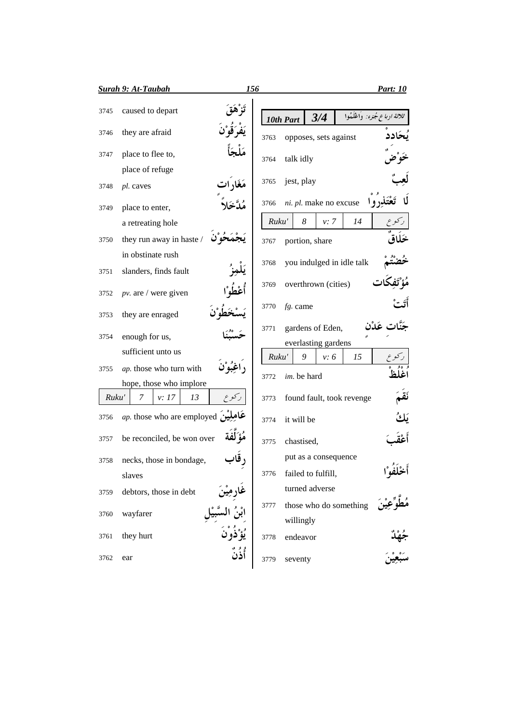|       | <b><u>Surah 9: At-Taubah</u></b>       | 156   |             |                     |                           | <b>Part: 10</b>               |
|-------|----------------------------------------|-------|-------------|---------------------|---------------------------|-------------------------------|
| 3745  | caused to depart                       |       | 10th Part   | 3/4                 |                           | ثلاثة ارباع مجزء: وَاغْلَمُوا |
| 3746  | they are afraid                        | 3763  |             |                     | opposes, sets against     |                               |
| 3747  | place to flee to,                      | 3764  | talk idly   |                     |                           |                               |
|       | place of refuge                        |       |             |                     |                           |                               |
| 3748  | pl. caves                              | 3765  | jest, play  |                     |                           |                               |
| 3749  | place to enter,                        | 3766  |             |                     | ni. pl. make no excuse    |                               |
|       | a retreating hole                      | Ruku' |             | 8                   | 14<br>v: 7                |                               |
| 3750  | they run away in haste /               | 3767  |             | portion, share      |                           |                               |
|       | in obstinate rush                      |       |             |                     | you indulged in idle talk |                               |
| 3751  | slanders, finds fault                  | 3768  |             |                     |                           |                               |
| 3752  | $pv$ are / were given                  | 3769  |             | overthrown (cities) |                           |                               |
| 3753  | they are enraged                       | 3770  | fg. came    |                     |                           |                               |
| 3754  | enough for us,                         | 3771  |             | gardens of Eden,    |                           |                               |
|       | sufficient unto us                     |       |             | everlasting gardens |                           |                               |
|       |                                        | Ruku' |             | 9                   | 15<br>v: 6                |                               |
| 3755  | ap. those who turn with                | 3772  | im. be hard |                     |                           |                               |
|       | hope, those who implore                |       |             |                     |                           |                               |
| Ruku' | 7<br>v: 17<br>13                       | 3773  |             |                     | found fault, took revenge |                               |
| 3756  | <i>ap</i> . those who are employed $q$ | 3774  | it will be  |                     |                           |                               |
| 3757  | be reconciled, be won over             | 3775  | chastised,  |                     |                           |                               |
| 3758  | , قار<br>necks, those in bondage,      |       |             |                     | put as a consequence      |                               |
|       | slaves                                 | 3776  |             | failed to fulfill,  |                           |                               |
| 3759  | debtors, those in debt                 |       |             | turned adverse      |                           | أخْلَفُوْا<br>مُطَّبِّع       |
|       |                                        | 3777  |             |                     | those who do something    |                               |
| 3760  | wayfarer                               |       | willingly   |                     |                           |                               |
| 3761  | they hurt                              | 3778  | endeavor    |                     |                           |                               |
| 3762  | وو»<br>أَذَنَ<br>ear                   | 3779  | seventy     |                     |                           |                               |
|       |                                        |       |             |                     |                           |                               |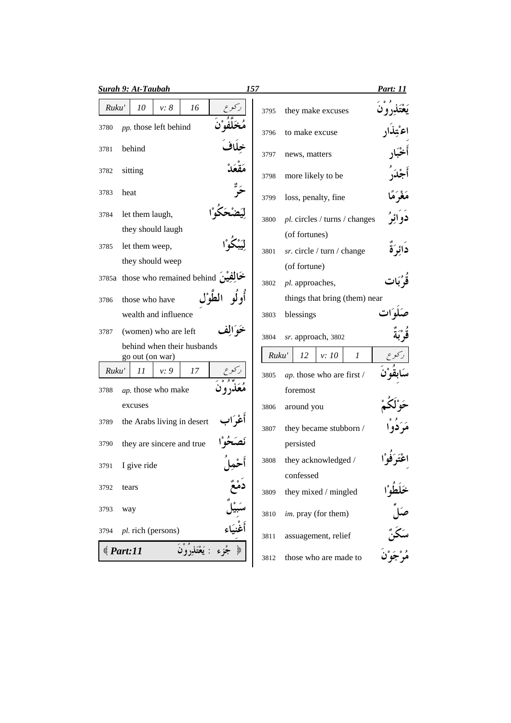|       | <b>Surah 9: At-Taubah</b>                     |        | 157   |                                  |      |               | Part: 11                    |
|-------|-----------------------------------------------|--------|-------|----------------------------------|------|---------------|-----------------------------|
| Ruku' | 10<br>$v: \delta$<br>16                       |        | 3795  | they make excuses                |      |               |                             |
| 3780  | pp. those left behind                         |        | 3796  | to make excuse                   |      |               |                             |
| 3781  | behind                                        |        | 3797  | news, matters                    |      |               |                             |
| 3782  | sitting                                       |        | 3798  | more likely to be                |      |               |                             |
| 3783  | heat                                          |        | 3799  | loss, penalty, fine              |      |               | مَغْرَمًا                   |
| 3784  | let them laugh,                               |        | 3800  | pl. circles / turns / changes    |      |               | دو ائر                      |
|       | they should laugh                             |        |       | (of fortunes)                    |      |               |                             |
| 3785  | let them weep,                                |        | 3801  | sr. circle / turn / change       |      |               | دائرَة                      |
|       | they should weep                              |        |       | (of fortune)                     |      |               |                             |
|       | خَالِفِيْنَ 3785a those who remained behind   |        | 3802  | pl. approaches,                  |      |               |                             |
| 3786  | those who have                                |        |       | things that bring (them) near    |      |               |                             |
|       | wealth and influence                          |        | 3803  | blessings                        |      |               |                             |
| 3787  | (women) who are left                          | عه آلة | 3804  | sr. approach, 3802               |      |               |                             |
|       | behind when their husbands<br>go out (on war) |        | Ruku' | 12                               | v:10 | $\mathcal{I}$ |                             |
| Ruku' | 11<br>v: 9<br>17                              |        | 3805  | ap. those who are first /        |      |               |                             |
| 3788  | ap. those who make                            |        |       | foremost                         |      |               |                             |
|       | excuses                                       |        | 3806  | around you                       |      |               |                             |
| 3789  | the Arabs living in desert                    |        | 3807  | they became stubborn /           |      |               |                             |
| 3790  | they are sincere and true                     |        |       | persisted                        |      |               |                             |
| 3791  | I give ride                                   |        | 3808  | they acknowledged /<br>confessed |      |               |                             |
| 3792  | tears                                         |        | 3809  | they mixed / mingled             |      |               |                             |
| 3793  | way                                           |        | 3810  | im. pray (for them)              |      |               | حلطو<br>صَلِّ<br>مُرْجَوْرُ |
| 3794  | pl. rich (persons)                            |        | 3811  | assuagement, relief              |      |               |                             |
|       | : يَعْتَذِرُوْنَ<br>Part:11                   |        | 3812  | those who are made to            |      |               |                             |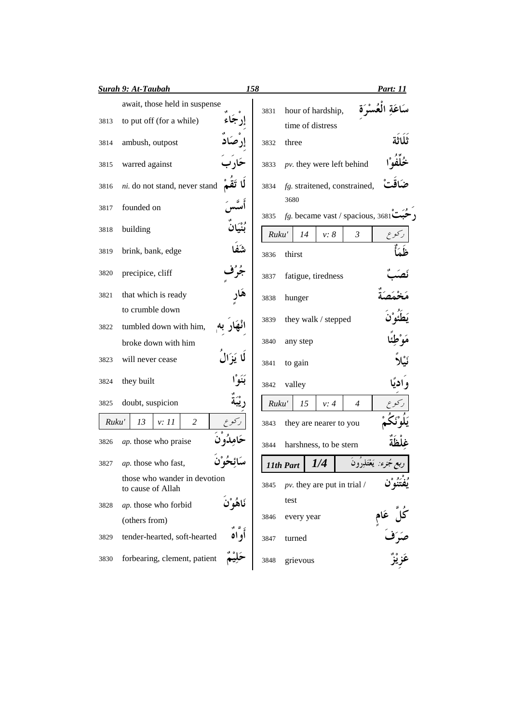|       | <b>Surah 9: At-Taubah</b>                         | 158        |       |                                             |      |                | <u> Part: 11</u>                 |
|-------|---------------------------------------------------|------------|-------|---------------------------------------------|------|----------------|----------------------------------|
|       | await, those held in suspense                     |            | 3831  | hour of hardship,                           |      |                |                                  |
| 3813  | to put off (for a while)                          |            |       | time of distress                            |      |                |                                  |
| 3814  | ambush, outpost                                   |            | 3832  | three                                       |      |                |                                  |
| 3815  | warred against                                    |            | 3833  | $pv$ . they were left behind                |      |                |                                  |
| 3816  | ni. do not stand, never stand                     |            | 3834  | fg. straitened, constrained,                |      |                |                                  |
| 3817  | founded on                                        |            | 3835  | 3680<br>$fg$ . became vast / spacious, 3681 |      |                |                                  |
| 3818  | building                                          |            | Ruku' | 14                                          | v: 8 | $\mathfrak{Z}$ |                                  |
| 3819  | brink, bank, edge                                 | شَة        | 3836  | thirst                                      |      |                |                                  |
| 3820  | precipice, cliff                                  |            | 3837  | fatigue, tiredness                          |      |                |                                  |
| 3821  | that which is ready                               |            | 3838  | hunger                                      |      |                |                                  |
|       | to crumble down                                   |            |       | they walk / stepped                         |      |                |                                  |
| 3822  | tumbled down with him,                            |            | 3839  |                                             |      |                |                                  |
|       | broke down with him                               |            | 3840  | any step                                    |      |                |                                  |
| 3823  | will never cease                                  | لا يَزَال  | 3841  | to gain                                     |      |                |                                  |
| 3824  | they built                                        | بَنَوْا    | 3842  | valley                                      |      |                | و ادىًا                          |
| 3825  | doubt, suspicion                                  |            | Ruku' | 15                                          | v: 4 | $\overline{4}$ |                                  |
| Ruku' | $\overline{c}$<br>13<br>v: 11                     |            | 3843  | they are nearer to you                      |      |                |                                  |
| 3826  | ap. those who praise                              |            | 3844  | harshness, to be stern                      |      |                |                                  |
| 3827  | ap. those who fast,                               |            |       | 11th Part                                   | 1/4  |                |                                  |
|       | those who wander in devotion<br>to cause of Allah |            | 3845  | $pv$ . they are put in trial /              |      |                |                                  |
| 3828  | ap. those who forbid                              | نَاهُوْ`نَ |       | test                                        |      |                |                                  |
|       | (others from)                                     |            | 3846  | every year                                  |      |                |                                  |
| 3829  | tender-hearted, soft-hearted                      | أو اد      | 3847  | turned                                      |      |                | كُلَّ عَامٍ<br>صَرَفَ<br>عَزيْزٌ |
| 3830  | forbearing, clement, patient                      |            | 3848  | grievous                                    |      |                |                                  |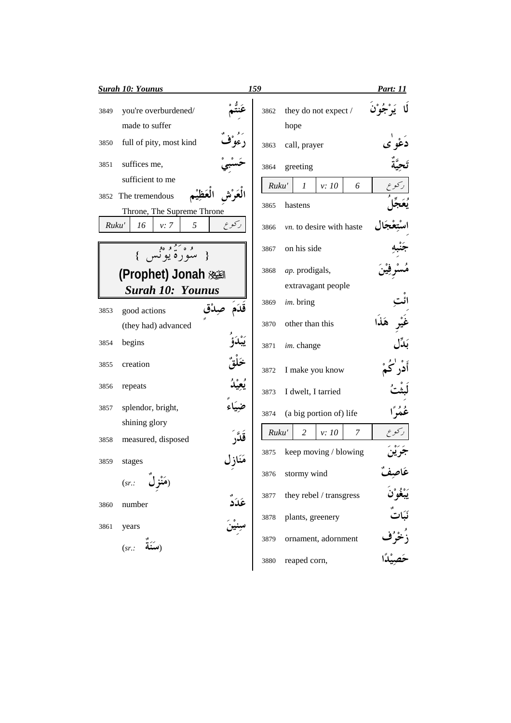|       | <b>Surah 10: Younus</b>                           | 159   |                                           | <u>Part: 11</u>      |
|-------|---------------------------------------------------|-------|-------------------------------------------|----------------------|
| 3849  | you're overburdened/<br>made to suffer            | 3862  | they do not expect /<br>hope              |                      |
| 3850  | full of pity, most kind                           | 3863  | call, prayer                              |                      |
| 3851  | suffices me,                                      | 3864  | greeting                                  |                      |
|       | sufficient to me                                  | Ruku' | $\boldsymbol{l}$<br>v: 10<br>6            |                      |
|       | 3852 The tremendous<br>Throne, The Supreme Throne | 3865  | hastens                                   |                      |
| Ruku' | ركوع<br>16<br>5<br>v: 7                           | 3866  | vn. to desire with haste                  |                      |
|       | ده کشوه<br>سوره يونس                              | 3867  | on his side                               |                      |
|       | (Prophet) Jonah 邂                                 | 3868  | ap. prodigals,                            |                      |
|       | <b>Surah 10: Younus</b>                           |       | extravagant people                        |                      |
| 3853  | قدَم<br>good actions                              | 3869  | im. bring                                 |                      |
|       | (they had) advanced                               | 3870  | other than this                           | هَذا                 |
| 3854  | begins                                            | 3871  | im. change                                |                      |
| 3855  | creation                                          | 3872  | I make you know                           |                      |
| 3856  | repeats                                           | 3873  | I dwelt, I tarried                        |                      |
| 3857  | splendor, bright,                                 | 3874  | (a big portion of) life                   | ڠؙۿؙڔٞۘٳ             |
|       | shining glory                                     |       |                                           |                      |
| 3858  | measured, disposed                                | Ruku' | $\overline{c}$<br>$\overline{7}$<br>v: 10 |                      |
| 3859  | مَنَازل<br>stages                                 | 3875  | keep moving / blowing                     |                      |
|       | (مَنْذِ الْمُ<br>(sr.                             | 3876  | stormy wind                               | غاصِعہ               |
| 3860  | number                                            | 3877  | they rebel / transgress                   | ؘؽۜۼؙۅ۠ۯؘ            |
| 3861  | عَدَدٌ<br>سِنِیْنَ<br>years                       | 3878  | plants, greenery                          | نَبَاتٌ              |
|       | (sr.                                              | 3879  | ornament, adornment                       | زُخْرُف<br>حَصِيْدًا |
|       |                                                   | 3880  | reaped corn,                              |                      |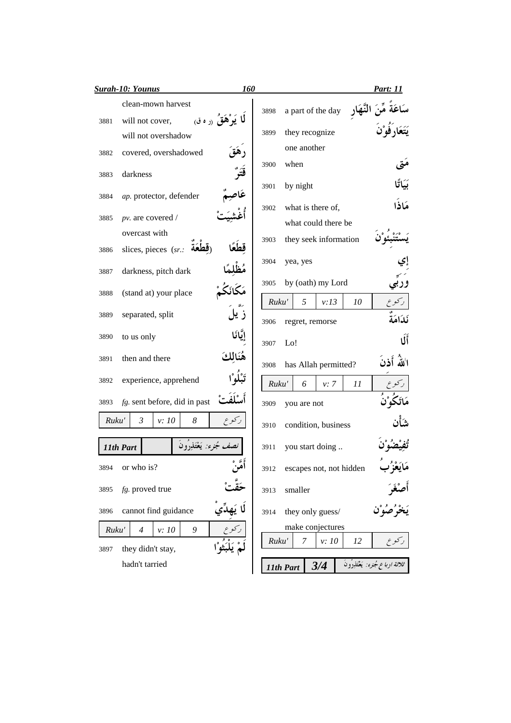|       | <b>Surah-10: Younus</b><br><b>160</b>                    |      |           |                 |                         |    | <b>Part: 11</b>                  |
|-------|----------------------------------------------------------|------|-----------|-----------------|-------------------------|----|----------------------------------|
|       | clean-mown harvest                                       | 3898 |           |                 | a part of the day       |    |                                  |
| 3881  | <b>ل</b> ا يَوْهَقُ <sub>(ر</sub> ه ق<br>will not cover, | 3899 |           | they recognize  |                         |    |                                  |
|       | will not overshadow                                      |      |           | one another     |                         |    |                                  |
| 3882  | covered, overshadowed                                    |      |           | when            |                         |    |                                  |
| 3883  | darkness                                                 | 3900 |           |                 |                         |    |                                  |
| 3884  | عَاح<br>ap. protector, defender                          | 3901 |           | by night        |                         |    | مَاذَا                           |
| 3885  | pv. are covered /                                        | 3902 |           |                 | what is there of,       |    |                                  |
|       | overcast with                                            |      |           |                 | what could there be     |    |                                  |
| 3886  | slices, pieces (sr.:<br>لة                               | 3903 |           |                 | they seek information   |    |                                  |
| 3887  | darkness, pitch dark                                     | 3904 |           | yea, yes        |                         |    |                                  |
|       |                                                          | 3905 |           |                 | by (oath) my Lord       |    |                                  |
| 3888  | (stand at) your place                                    |      | Ruku'     | 5               | v:13                    | 10 |                                  |
| 3889  | ز يا<br>separated, split                                 | 3906 |           | regret, remorse |                         |    | نكامة                            |
| 3890  | to us only                                               | 3907 | Lo!       |                 |                         |    | ÚÍ                               |
| 3891  | then and there                                           | 3908 |           |                 | has Allah permitted?    |    | اللهُ أَذنَ                      |
| 3892  | experience, apprehend                                    |      | Ruku'     | 6               | v: 7                    | 11 |                                  |
| 3893  | fg. sent before, did in past                             | 3909 |           | you are not     |                         |    |                                  |
| Ruku' | $\mathfrak{Z}$<br>ركوع<br>8<br>v: 10                     | 3910 |           |                 | condition, business     |    |                                  |
|       | ، مُجزء: يَعْتَذِرُون<br>11th Part                       | 3911 |           |                 | you start doing         |    |                                  |
| 3894  | or who is?                                               | 3912 |           |                 | escapes not, not hidden |    |                                  |
| 3895  | fg. proved true                                          | 3913 |           | smaller         |                         |    |                                  |
| 3896  | cannot find guidance                                     | 3914 |           |                 | they only guess/        |    |                                  |
| Ruku' | $\overline{4}$<br>9<br>v: 10                             |      |           |                 | make conjectures        |    |                                  |
| 3897  | they didn't stay,                                        |      | Ruku'     | 7               | v:10                    | 12 |                                  |
|       | hadn't tarried                                           |      | 11th Part |                 | 3/4                     |    | ثلاثة ارباع جُنرء: يَعْتَذِرُونَ |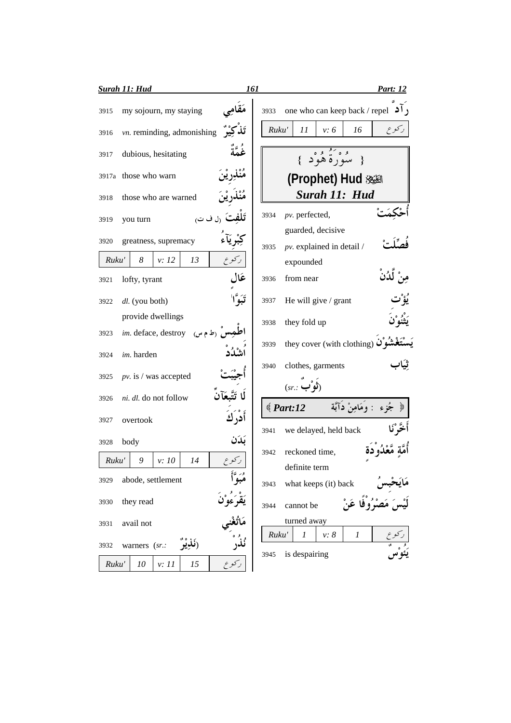|       | <b>Surah 11: Hud</b>              | 161           | Part: 12                                                           |
|-------|-----------------------------------|---------------|--------------------------------------------------------------------|
| 3915  | my sojourn, my staying            | 3933          | one who can keep back / repel $\bullet$                            |
| 3916  | vn. reminding, admonishing        |               | ر کو ع<br>Ruku'<br>11<br>v: 6<br>16                                |
| 3917  | dubious, hesitating               | غُمَّةُ       | { سُوَرَةٌ هُوْدٍ }                                                |
|       | 3917a those who warn              |               | (Prophet) Hud                                                      |
| 3918  | those who are warned              |               | Surah 11: Hud                                                      |
| 3919  | <b>تَلفتَ</b> رل ف ت<br>you turn  | 3934          | pv. perfected,                                                     |
| 3920  | greatness, supremacy              | 3935          | guarded, decisive<br>$pv.$ explained in detail /                   |
| Ruku' | 8<br>v: 12<br>13                  |               | expounded                                                          |
| 3921  | lofty, tyrant                     | عَال<br>3936  | ڵڵۮؙڽۨ<br>from near                                                |
| 3922  | dl. (you both)                    | 3937          | He will give / grant                                               |
|       | provide dwellings                 | 3938          | they fold up                                                       |
| 3923  | مس (ط م س)<br>im. deface, destroy |               | they cover (with clothing) $\ddot{\mathbf{u}}$                     |
| 3924  | im. harden                        | 3939          |                                                                    |
| 3925  | $pv.$ is / was accepted           | 3940          | clothes, garments                                                  |
| 3926  | ni. dl. do not follow             |               | (sr. :<br>جُزِء : وَمَامِنْ دَآبَة<br>$\text{\textdegree}$ Part:12 |
| 3927  | overtook                          | أدر ك         |                                                                    |
| 3928  | body                              | 3941<br>بَدَن | we delayed, held back                                              |
| Ruku' | 9<br>v: 10<br>14                  | 3942          | reckoned time,<br>definite term                                    |
| 3929  | abode, settlement                 | 3943          | what keeps (it) back                                               |
| 3930  | they read                         | 3944          | cannot be                                                          |
| 3931  | avail not                         |               | turned away                                                        |
| 3932  | warners (sr.:                     |               | Ruku'<br>$\boldsymbol{l}$<br>$v: \delta$<br>1<br>is despairing     |
| Ruku' | 10<br>15<br>v: 11                 | 3945          |                                                                    |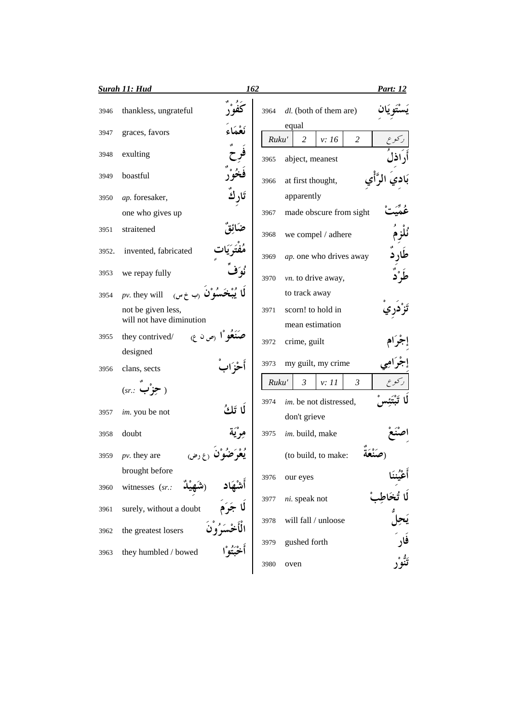|       | Surah 11: Hud                                  | 162                   |       |                                           | <u>Part: 12</u> |
|-------|------------------------------------------------|-----------------------|-------|-------------------------------------------|-----------------|
| 3946  | thankless, ungrateful                          |                       | 3964  | dl. (both of them are)                    |                 |
| 3947  | graces, favors                                 |                       | Ruku' | equal<br>$\overline{2}$<br>2<br>v: 16     |                 |
| 3948  | exulting                                       |                       | 3965  | abject, meanest                           |                 |
| 3949  | boastful                                       |                       | 3966  | at first thought,                         |                 |
| 3950  | ap. foresaker,                                 |                       |       | apparently                                |                 |
|       | one who gives up                               |                       | 3967  | made obscure from sight                   |                 |
| 3951  | straitened                                     |                       | 3968  | we compel / adhere                        |                 |
| 3952. | invented, fabricated                           |                       | 3969  | ap. one who drives away                   |                 |
| 3953  | we repay fully                                 |                       | 3970  | vn. to drive away,                        |                 |
| 3954  | $pv.$ they will<br>$($ ب خ س $($               |                       |       | to track away                             |                 |
|       | not be given less,<br>will not have diminution |                       | 3971  | scorn! to hold in<br>mean estimation      |                 |
| 3955  | they contrived/<br>ا رص ن ع) $\mathsf{I}$      |                       | 3972  | crime, guilt                              |                 |
|       | designed                                       |                       |       |                                           |                 |
| 3956  | clans, sects                                   |                       | 3973  | my guilt, my crime                        |                 |
|       | $(sr.: \leftrightarrow$                        |                       | Ruku' | $\mathfrak{Z}$<br>$\mathfrak{Z}$<br>v: 11 |                 |
| 3957  | im. you be not                                 | لما تَكُ              | 3974  | im. be not distressed,<br>don't grieve    |                 |
| 3958  | doubt                                          |                       | 3975  | im. build, make                           |                 |
| 3959  | $pv.$ they are                                 |                       |       | (to build, to make:                       |                 |
|       | brought before                                 |                       | 3976  | our eyes                                  |                 |
| 3960  | witnesses (sr.:                                | أشْهَاد<br>لَا جَرَمَ |       |                                           |                 |
| 3961  | surely, without a doubt                        |                       | 3977  | ni. speak not                             |                 |
| 3962  | the greatest losers                            | لْأَخْسَرُوْنَ        | 3978  | will fall / unloose                       |                 |
|       |                                                |                       | 3979  | gushed forth                              | فار             |
| 3963  | they humbled / bowed                           |                       | 3980  | oven                                      |                 |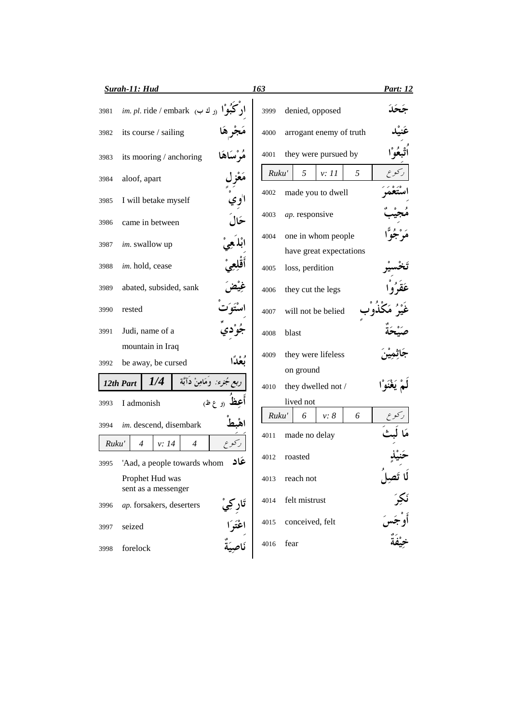|               | <b>Surah-11: Hud</b>                                               | 163   |                                               | <b>Part: 12</b>      |
|---------------|--------------------------------------------------------------------|-------|-----------------------------------------------|----------------------|
| 3981          | ا <b>رکبُوْ</b> ا <sub>(ر</sub> ك ب) <i>im. pl.</i> ride / embark  | 3999  | denied, opposed                               |                      |
| 3982          | its course / sailing                                               | 4000  | arrogant enemy of truth                       |                      |
| 3983          | مُرْسَاهَا<br>its mooring / anchoring                              | 4001  | they were pursued by                          |                      |
| 3984          | مَعْزِل<br>aloof, apart                                            | Ruku' | 5<br>5<br>v: 11                               |                      |
| 3985          | ا'وي<br>I will betake myself                                       | 4002  | made you to dwell                             |                      |
| 3986          | حَالَ<br>came in between                                           | 4003  | ap. responsive                                |                      |
| 3987          | im. swallow up                                                     | 4004  | one in whom people<br>have great expectations |                      |
| 3988          | im. hold, cease                                                    | 4005  | loss, perdition                               |                      |
| 3989          | abated, subsided, sank                                             | 4006  | they cut the legs                             |                      |
| 3990          | rested                                                             | 4007  | will not be belied                            |                      |
| 3991          | Judi, name of a                                                    | 4008  | blast                                         |                      |
|               | mountain in Iraq                                                   | 4009  | they were lifeless                            |                      |
| 3992          | be away, be cursed                                                 |       | on ground                                     |                      |
|               | <i>جُزء:</i> وَمَامِنْ دَآبَّة<br>1/4<br>12th Part                 | 4010  | they dwelled not /                            |                      |
| 3993          | (و ع ظ)<br>I admonish                                              |       | lived not                                     |                      |
| 3994          | im. descend, disembark                                             | Ruku' | v: 8<br>6<br>6                                |                      |
|               |                                                                    | 4011  | made no delay                                 |                      |
| Ruku'<br>3995 | $\overline{4}$<br>v: 14<br>4<br>عاد<br>'Aad, a people towards whom | 4012  | roasted                                       |                      |
|               | Prophet Hud was<br>sent as a messenger                             | 4013  | reach not                                     | لَا تَصِلُ<br>نَكِرَ |
| 3996          | ap. forsakers, deserters                                           | 4014  | felt mistrust                                 |                      |
| 3997          | seized                                                             | 4015  | conceived, felt                               | أوْجَس<br>أوْجَس     |
| 3998          | اعْتَوَا<br>نَاصِيَةٌ<br>forelock                                  | 4016  | fear                                          |                      |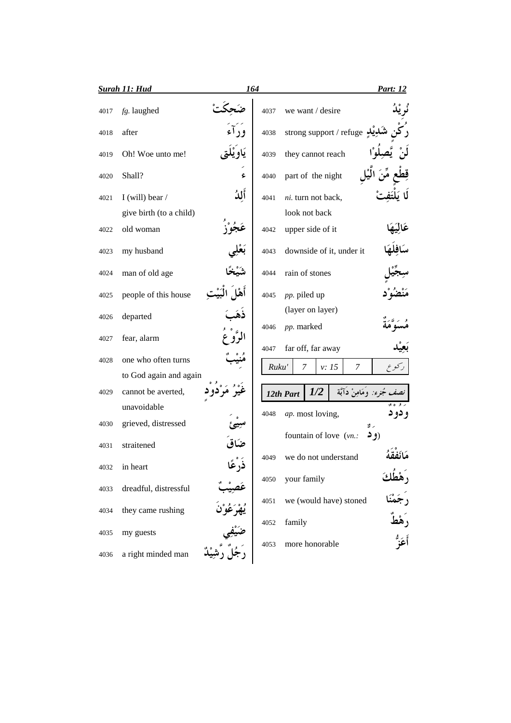|      | <b>Surah 11: Hud</b>    |      | 164          |                                 |            |                           | Part: 12    |        |
|------|-------------------------|------|--------------|---------------------------------|------------|---------------------------|-------------|--------|
| 4017 | fg. laughed             |      | 4037         | we want / desire                |            |                           |             |        |
| 4018 | after                   |      | 4038         |                                 |            | strong support / refuge   |             |        |
| 4019 | Oh! Woe unto me!        |      | 4039         | they cannot reach               |            |                           |             |        |
| 4020 | Shall?                  | s    | 4040         | part of the night               |            |                           |             |        |
| 4021 | I (will) bear /         | أللأ | 4041         | ni. turn not back,              |            |                           |             |        |
|      | give birth (to a child) |      |              | look not back                   |            |                           |             |        |
| 4022 | old woman               |      | 4042         | upper side of it                |            |                           |             |        |
| 4023 | my husband              |      | 4043         |                                 |            | downside of it, under it  |             |        |
| 4024 | man of old age          |      | 4044         | rain of stones                  |            |                           |             |        |
| 4025 | people of this house    |      | 4045         | pp. piled up                    |            |                           |             |        |
| 4026 | departed                |      |              | (layer on layer)                |            |                           |             |        |
| 4027 | fear, alarm             |      | 4046<br>4047 | pp. marked<br>far off, far away |            |                           |             |        |
| 4028 | one who often turns     |      | Ruku'        | 7                               |            | v: 15<br>7                |             |        |
|      | to God again and again  |      |              |                                 |            |                           |             |        |
| 4029 | cannot be averted,      |      |              | 12th Part                       | <i>1/2</i> | مُجزء: وَمَامِنْ دَآبَة   |             |        |
|      | unavoidable             |      | 4048         | ap. most loving,                |            |                           |             | و دو د |
| 4030 | grieved, distressed     |      |              |                                 |            | fountain of love $(vn)$ . | ر ٿ<br>(و د |        |
| 4031 | straitened              |      |              |                                 |            |                           |             |        |
| 4032 | in heart                |      | 4049         |                                 |            | we do not understand      |             |        |
| 4033 | dreadful, distressful   |      | 4050         | your family                     |            |                           |             |        |
| 4034 | they came rushing       |      | 4051         |                                 |            | we (would have) stoned    |             |        |
| 4035 | my guests               |      | 4052         | family                          |            |                           |             |        |
| 4036 | a right minded man      |      | 4053         | more honorable                  |            |                           |             |        |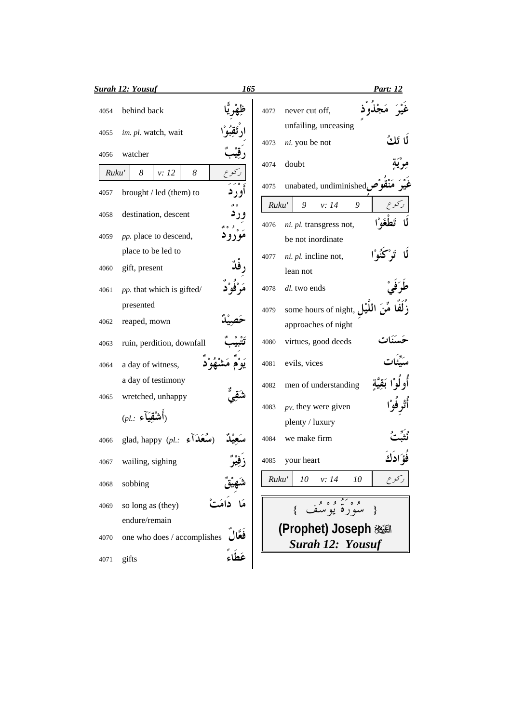|       | <b>Surah 12: Yousuf</b>     | 165     |       |                                                   | <b>Part:</b> 12 |
|-------|-----------------------------|---------|-------|---------------------------------------------------|-----------------|
| 4054  | behind back                 |         | 4072  | never cut off,                                    |                 |
| 4055  | im. pl. watch, wait         |         | 4073  | unfailing, unceasing<br>ni. you be not            | لما تَلُّكُ     |
| 4056  | watcher                     |         |       |                                                   |                 |
| Ruku' | 8<br>8<br>v: 12             |         | 4074  | doubt                                             |                 |
| 4057  | brought / led (them) to     | او ر د  | 4075  | unabated, undiminished $\tilde{\boldsymbol{\mu}}$ |                 |
|       |                             |         | Ruku' | 9<br>v: 14<br>9                                   |                 |
| 4058  | destination, descent        |         | 4076  | ni. pl. transgress not,                           |                 |
| 4059  | pp. place to descend,       |         |       | be not inordinate                                 |                 |
|       | place to be led to          |         | 4077  | ni. pl. incline not,                              |                 |
| 4060  | gift, present               |         |       | lean not                                          |                 |
| 4061  | pp. that which is gifted/   |         | 4078  | dl. two ends                                      |                 |
|       | presented                   |         | 4079  | some hours of night, $J_{\mathbf{L}}$             |                 |
| 4062  | reaped, mown                |         |       | approaches of night                               |                 |
| 4063  | ruin, perdition, downfall   |         | 4080  | virtues, good deeds                               |                 |
| 4064  | a day of witness,           |         | 4081  | evils, vices                                      |                 |
|       | a day of testimony          |         | 4082  | men of understanding                              |                 |
| 4065  | wretched, unhappy           |         | 4083  | $pv$ . they were given                            |                 |
|       | $(\rho l.:~$ أَشْقِيَآءِ)   |         |       | plenty / luxury                                   |                 |
| 4066  | glad, happy (pl.:           |         | 4084  | we make firm                                      |                 |
| 4067  | wailing, sighing            |         | 4085  | your heart                                        |                 |
| 4068  | sobbing                     |         | Ruku' | 10<br>v: 14<br>10                                 | ركوع            |
| 4069  | so long as (they)           |         |       |                                                   |                 |
|       | endure/remain               |         |       | وه کشوه و.<br>سوره یوسف                           |                 |
| 4070  | one who does / accomplishes |         |       | (Prophet) Joseph 淡圖                               |                 |
|       |                             |         |       | <b>Surah 12: Yousuf</b>                           |                 |
| 4071  | gifts                       | عَطَاءَ |       |                                                   |                 |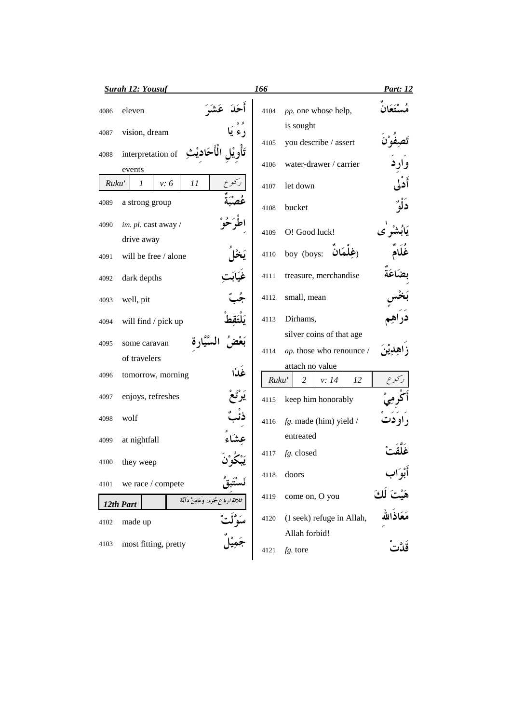| <b>Surah 12: Yousuf</b> |                                                 |       |                               | Part: 12 |
|-------------------------|-------------------------------------------------|-------|-------------------------------|----------|
| 4086                    | eleven                                          | 4104  | pp. one whose help,           |          |
| 4087                    | vision, dream                                   |       | is sought                     |          |
|                         |                                                 | 4105  | you describe / assert         |          |
| 4088                    | interpretation of<br>events                     | 4106  | water-drawer / carrier        |          |
| Ruku'                   | 11<br>v: 6<br>1                                 | 4107  | let down                      | أدلى     |
| 4089                    | a strong group                                  | 4108  | bucket                        |          |
| 4090                    | im. pl. cast away /                             | 4109  | O! Good luck!                 |          |
|                         | drive away                                      |       |                               |          |
| 4091                    | will be free / alone                            | 4110  | boy (boys:                    |          |
| 4092                    | dark depths                                     | 4111  | treasure, merchandise         |          |
| 4093                    | well, pit                                       | 4112  | small, mean                   |          |
| 4094                    | will find / pick up                             | 4113  | Dirhams,                      |          |
|                         |                                                 |       | silver coins of that age      |          |
| 4095                    | some caravan<br>of travelers                    | 4114  | ap. those who renounce /      |          |
|                         |                                                 |       | attach no value               |          |
| 4096                    | غدًا<br>tomorrow, morning                       | Ruku' | 12<br>$\overline{2}$<br>v: 14 |          |
| 4097                    | enjoys, refreshes                               | 4115  | keep him honorably            |          |
| 4098                    | wolf                                            | 4116  | $fg.$ made (him) yield /      |          |
| 4099                    | at nightfall                                    |       | entreated                     |          |
| 4100                    | they weep                                       | 4117  | fg. closed                    |          |
| 4101                    | we race / compete                               | 4118  | doors                         |          |
|                         | ثلاثة ارباع مجرء: وَمَامِنْ دَآبَة<br>12th Part | 4119  | come on, O you                |          |
| 4102                    | made up                                         | 4120  | (I seek) refuge in Allah,     |          |
|                         |                                                 |       | Allah forbid!                 |          |
| 4103                    | most fitting, pretty                            | 4121  | fg. tore                      |          |
|                         |                                                 |       |                               |          |